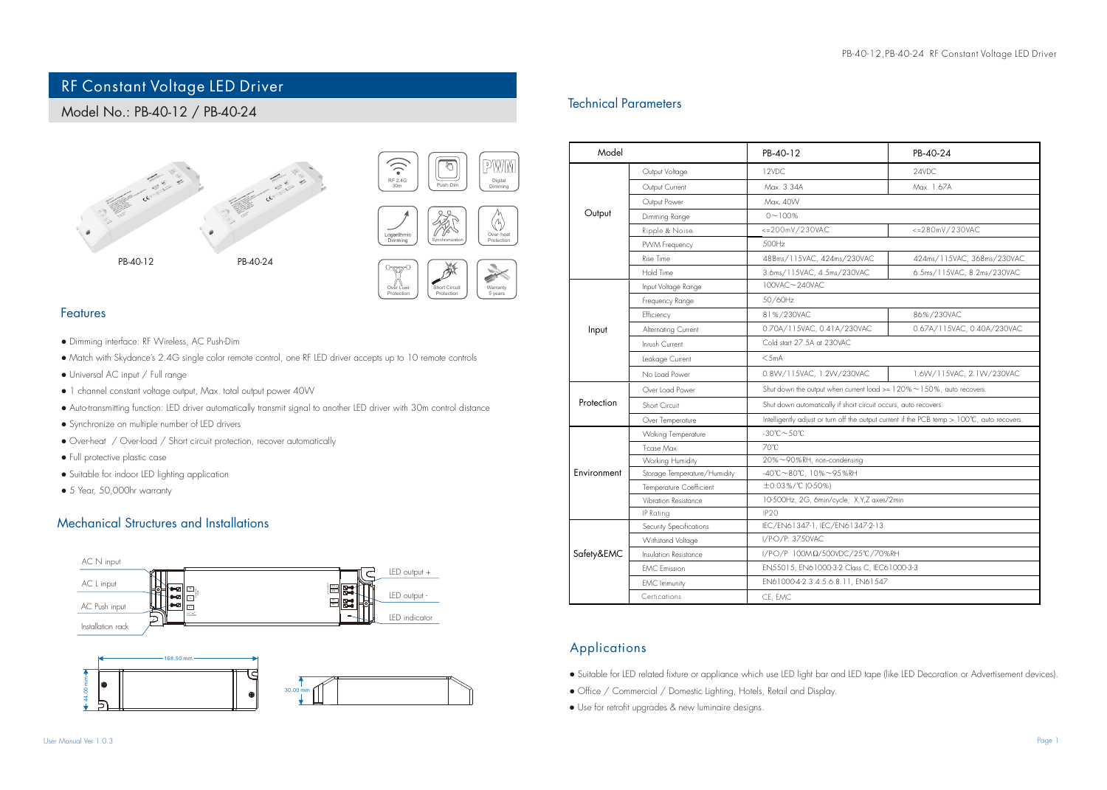# RF Constant Voltage LED Driver

## Model No.: PB-40-12 / PB-40-24









#### Features

- Dimming interface: RF Wireless, AC Push-Dim
- Match with Skydance's 2.4G single color remote control, one RF LED driver accepts up to 10 remote controls
- Universal AC input / Full range
- 1 channel constant voltage output, Max. total output power 40W
- Auto-transmitting function: LED driver automatically transmit signal to another LED driver with 30m control distance
- Synchronize on multiple number of LED drivers
- Over-heat / Over-load / Short circuit protection, recover automatically
- Full protective plastic case
- Suitable for indoor LED lighting application
- 5 Year, 50,000hr warranty

## Mechanical Structures and Installations



30.00 mm

# Technical Parameters

| Model       |                              | PB-40-12                                                                                    | PB-40-24                   |
|-------------|------------------------------|---------------------------------------------------------------------------------------------|----------------------------|
| Output      | Output Voltage               | 12VDC                                                                                       | 24VDC                      |
|             | Output Current               | Max. 3.34A                                                                                  | Max. 1.67A                 |
|             | Output Power                 | Max. 40W                                                                                    |                            |
|             | Dimming Range                | $0 - 100%$                                                                                  |                            |
|             | Ripple & Noise               | <= 200mV/230VAC                                                                             | <= 280mV/230VAC            |
|             | PVVM Frequency               | 500Hz                                                                                       |                            |
|             | Rise Time                    | 488ms/115VAC. 424ms/230VAC                                                                  | 424ms/115VAC, 368ms/230VAC |
|             | Hold Time                    | 3.6ms/115VAC, 4.5ms/230VAC                                                                  | 6.5ms/115VAC, 8.2ms/230VAC |
| Input       | Input Voltage Range          | 100VAC~240VAC                                                                               |                            |
|             | Frequency Range              | 50/60Hz                                                                                     |                            |
|             | Efficiency                   | 81%/230VAC                                                                                  | 86%/230VAC                 |
|             | Alternating Current          | 0.70A/115VAC, 0.41A/230VAC                                                                  | 0.67A/115VAC, 0.40A/230VAC |
|             | Innish Current               | Cold start 27.5A at 230VAC                                                                  |                            |
|             | Leakage Current              | $<$ 5mA                                                                                     |                            |
|             | No Load Power                | 0.8W/115VAC, 1.2W/230VAC                                                                    | 1.6W/115VAC, 2.1W/230VAC   |
| Protection  | Over Load Power              | Shut down the output when current load $>= 120\% \sim 150\%$ , auto recovers.               |                            |
|             | Short Circuit                | Shut down automatically if short circuit occurs, auto recovers.                             |                            |
|             | Over Temperature             | Intelligently adjust or turn off the output current if the PCB temp > 100°C, auto recovers. |                            |
| Environment | <b>Woking Temperature</b>    | $-30^{\circ}$ C $-50^{\circ}$ C                                                             |                            |
|             | Trase Max                    | 70°C                                                                                        |                            |
|             | Working Humidity             | 20%~90%RH, non-condensing                                                                   |                            |
|             | Storage Temperature/Humidity | -40°C~80°C, 10%~95%RH                                                                       |                            |
|             | Temperature Coefficient      | ±0.03%/°C (0-50%)                                                                           |                            |
|             | Vibration Resistance         | 10-500Hz, 2G, 6min/cycle, X,Y,Z axes/2min                                                   |                            |
|             | IP Rating                    | IP <sub>20</sub>                                                                            |                            |
| Safety&EMC  | Security Specifications      | IEC/EN61347-1, IEC/EN61347-2-13                                                             |                            |
|             | Withstand Voltage            | I/P-O/P: 3750VAC                                                                            |                            |
|             | Insulation Resistance        | I/P-O/P: 100ΜΩ/500VDC/25°C/70%RH                                                            |                            |
|             | <b>EMC</b> Emission          | EN55015, EN61000-3-2 Class C, IEC61000-3-3                                                  |                            |
|             | <b>EMC</b> Immunity          | EN61000-4-2.3.4.5.6.8.11, EN61547                                                           |                            |
|             | Certications                 | CE, EMC                                                                                     |                            |

## Applications

- Suitable for LED related fixture or appliance which use LED light bar and LED tape (like LED Decoration or Advertisement devices).
- Office / Commercial / Domestic Lighting, Hotels, Retail and Display.
- Use for retrofit upgrades & new luminaire designs.